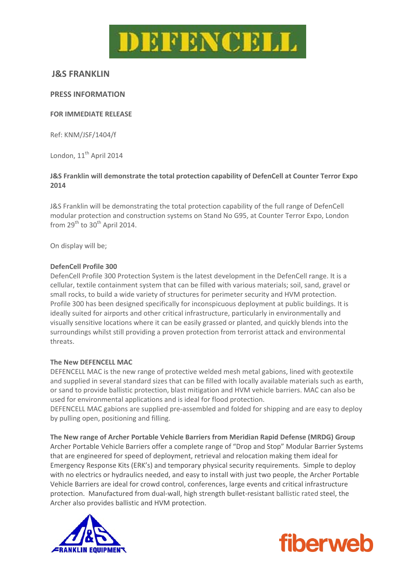

# **J&S FRANKLIN**

## **PRESS INFORMATION**

#### **FOR IMMEDIATE RELEASE**

Ref: KNM/JSF/1404/f

London, 11<sup>th</sup> April 2014

## **J&S Franklin will demonstrate the total protection capability of DefenCell at Counter Terror Expo 2014**

J&S Franklin will be demonstrating the total protection capability of the full range of DefenCell modular protection and construction systems on Stand No G95, at Counter Terror Expo, London from  $29<sup>th</sup>$  to  $30<sup>th</sup>$  April 2014.

On display will be;

#### **DefenCell Profile 300**

DefenCell Profile 300 Protection System is the latest development in the DefenCell range. It is a cellular, textile containment system that can be filled with various materials; soil, sand, gravel or small rocks, to build a wide variety of structures for perimeter security and HVM protection. Profile 300 has been designed specifically for inconspicuous deployment at public buildings. It is ideally suited for airports and other critical infrastructure, particularly in environmentally and visually sensitive locations where it can be easily grassed or planted, and quickly blends into the surroundings whilst still providing a proven protection from terrorist attack and environmental threats.

#### **The New DEFENCELL MAC**

DEFENCELL MAC is the new range of protective welded mesh metal gabions, lined with geotextile and supplied in several standard sizes that can be filled with locally available materials such as earth, or sand to provide ballistic protection, blast mitigation and HVM vehicle barriers. MAC can also be used for environmental applications and is ideal for flood protection.

DEFENCELL MAC gabions are supplied pre‐assembled and folded for shipping and are easy to deploy by pulling open, positioning and filling.

**The New range of Archer Portable Vehicle Barriers from Meridian Rapid Defense (MRDG) Group** Archer Portable Vehicle Barriers offer a complete range of "Drop and Stop" Modular Barrier Systems that are engineered for speed of deployment, retrieval and relocation making them ideal for Emergency Response Kits (ERK's) and temporary physical security requirements. Simple to deploy with no electrics or hydraulics needed, and easy to install with just two people, the Archer Portable Vehicle Barriers are ideal for crowd control, conferences, large events and critical infrastructure protection. Manufactured from dual‐wall, high strength bullet‐resistant ballistic rated steel, the Archer also provides ballistic and HVM protection.



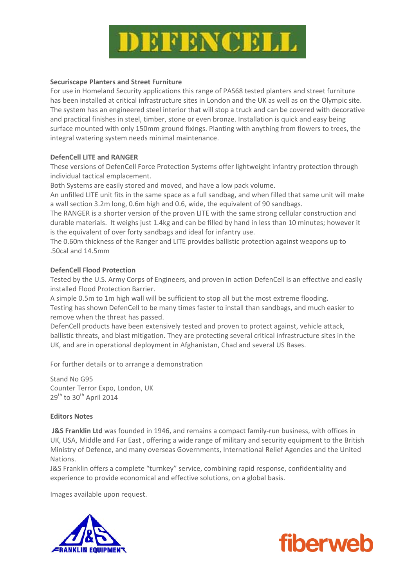

#### **Securiscape Planters and Street Furniture**

For use in Homeland Security applications this range of PAS68 tested planters and street furniture has been installed at critical infrastructure sites in London and the UK as well as on the Olympic site. The system has an engineered steel interior that will stop a truck and can be covered with decorative and practical finishes in steel, timber, stone or even bronze. Installation is quick and easy being surface mounted with only 150mm ground fixings. Planting with anything from flowers to trees, the integral watering system needs minimal maintenance.

## **DefenCell LITE and RANGER**

These versions of DefenCell Force Protection Systems offer lightweight infantry protection through individual tactical emplacement.

Both Systems are easily stored and moved, and have a low pack volume.

An unfilled LITE unit fits in the same space as a full sandbag, and when filled that same unit will make a wall section 3.2m long, 0.6m high and 0.6, wide, the equivalent of 90 sandbags.

The RANGER is a shorter version of the proven LITE with the same strong cellular construction and durable materials. It weighs just 1.4kg and can be filled by hand in less than 10 minutes; however it is the equivalent of over forty sandbags and ideal for infantry use.

The 0.60m thickness of the Ranger and LITE provides ballistic protection against weapons up to .50cal and 14.5mm

## **DefenCell Flood Protection**

Tested by the U.S. Army Corps of Engineers, and proven in action DefenCell is an effective and easily installed Flood Protection Barrier.

A simple 0.5m to 1m high wall will be sufficient to stop all but the most extreme flooding. Testing has shown DefenCell to be many times faster to install than sandbags, and much easier to remove when the threat has passed.

DefenCell products have been extensively tested and proven to protect against, vehicle attack, ballistic threats, and blast mitigation. They are protecting several critical infrastructure sites in the UK, and are in operational deployment in Afghanistan, Chad and several US Bases.

For further details or to arrange a demonstration

Stand No G95 Counter Terror Expo, London, UK 29<sup>th</sup> to 30<sup>th</sup> April 2014

#### **Editors Notes**

**J&S Franklin Ltd** was founded in 1946, and remains a compact family‐run business, with offices in UK, USA, Middle and Far East , offering a wide range of military and security equipment to the British Ministry of Defence, and many overseas Governments, International Relief Agencies and the United Nations.

J&S Franklin offers a complete "turnkey" service, combining rapid response, confidentiality and experience to provide economical and effective solutions, on a global basis.

Images available upon request.